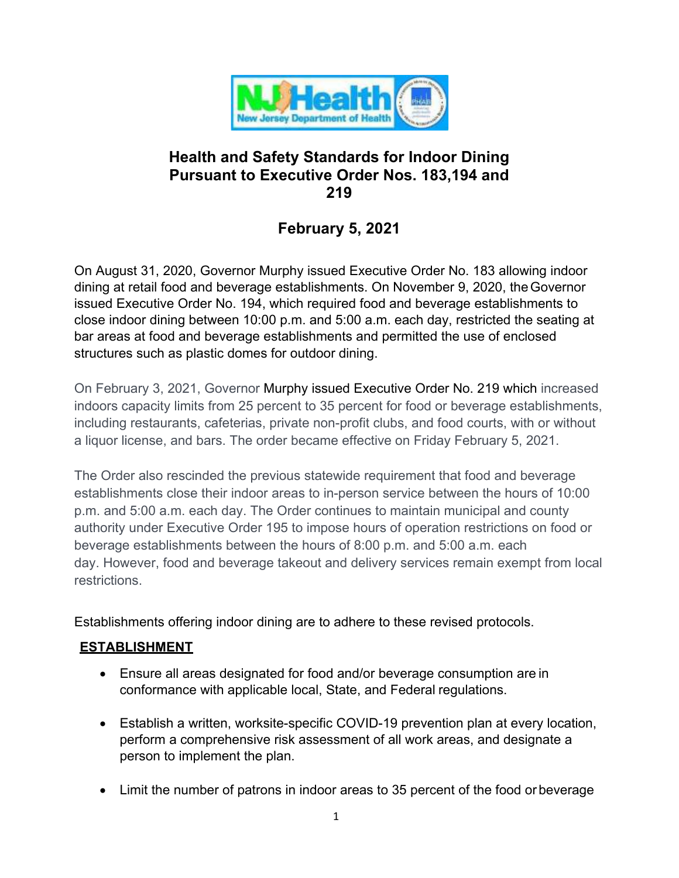

# **Health and Safety Standards for Indoor Dining Pursuant to Executive Order Nos. 183,194 and 219**

# **February 5, 2021**

On August 31, 2020, Governor Murphy issued Executive Order No. 183 allowing indoor dining at retail food and beverage establishments. On November 9, 2020, theGovernor issued Executive Order No. 194, which required food and beverage establishments to close indoor dining between 10:00 p.m. and 5:00 a.m. each day, restricted the seating at bar areas at food and beverage establishments and permitted the use of enclosed structures such as plastic domes for outdoor dining.

On February 3, 2021, Governor Murphy issued Executive Order No. 219 which increased indoors capacity limits from 25 percent to 35 percent for food or beverage establishments, including restaurants, cafeterias, private non-profit clubs, and food courts, with or without a liquor license, and bars. The order became effective on Friday February 5, 2021.

The Order also rescinded the previous statewide requirement that food and beverage establishments close their indoor areas to in-person service between the hours of 10:00 p.m. and 5:00 a.m. each day. The Order continues to maintain municipal and county authority under Executive Order 195 to impose hours of operation restrictions on food or beverage establishments between the hours of 8:00 p.m. and 5:00 a.m. each day. However, food and beverage takeout and delivery services remain exempt from local restrictions.

Establishments offering indoor dining are to adhere to these revised protocols.

# **ESTABLISHMENT**

- Ensure all areas designated for food and/or beverage consumption are in conformance with applicable local, State, and Federal regulations.
- Establish a written, worksite-specific COVID-19 prevention plan at every location, perform a comprehensive risk assessment of all work areas, and designate a person to implement the plan.
- Limit the number of patrons in indoor areas to 35 percent of the food or beverage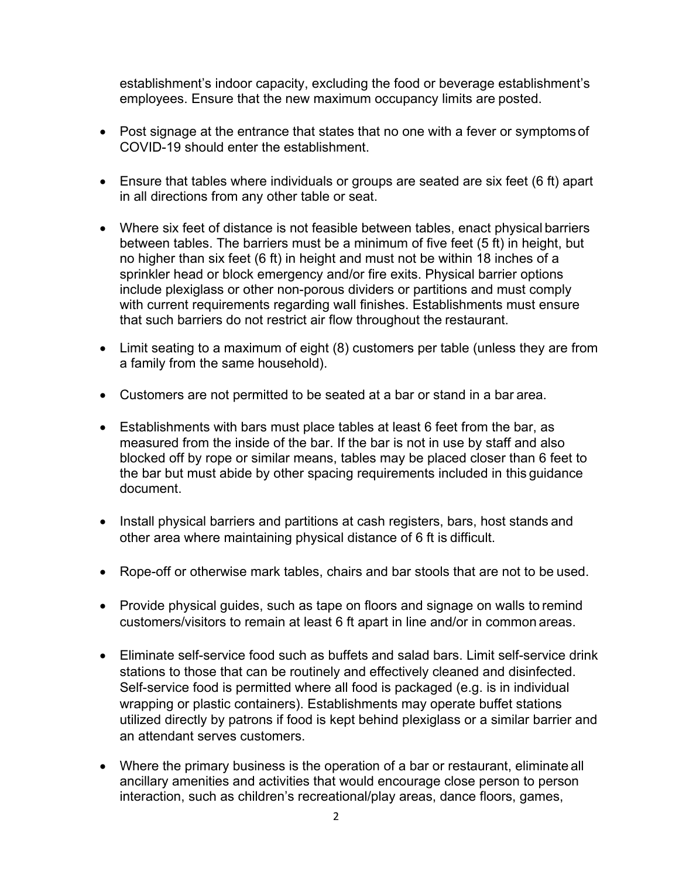establishment's indoor capacity, excluding the food or beverage establishment's employees. Ensure that the new maximum occupancy limits are posted.

- Post signage at the entrance that states that no one with a fever or symptoms of COVID-19 should enter the establishment.
- Ensure that tables where individuals or groups are seated are six feet (6 ft) apart in all directions from any other table or seat.
- Where six feet of distance is not feasible between tables, enact physical barriers between tables. The barriers must be a minimum of five feet (5 ft) in height, but no higher than six feet (6 ft) in height and must not be within 18 inches of a sprinkler head or block emergency and/or fire exits. Physical barrier options include plexiglass or other non-porous dividers or partitions and must comply with current requirements regarding wall finishes. Establishments must ensure that such barriers do not restrict air flow throughout the restaurant.
- Limit seating to a maximum of eight (8) customers per table (unless they are from a family from the same household).
- Customers are not permitted to be seated at a bar or stand in a bar area.
- Establishments with bars must place tables at least 6 feet from the bar, as measured from the inside of the bar. If the bar is not in use by staff and also blocked off by rope or similar means, tables may be placed closer than 6 feet to the bar but must abide by other spacing requirements included in this guidance document.
- Install physical barriers and partitions at cash registers, bars, host stands and other area where maintaining physical distance of 6 ft is difficult.
- Rope-off or otherwise mark tables, chairs and bar stools that are not to be used.
- Provide physical guides, such as tape on floors and signage on walls to remind customers/visitors to remain at least 6 ft apart in line and/or in common areas.
- Eliminate self-service food such as buffets and salad bars. Limit self-service drink stations to those that can be routinely and effectively cleaned and disinfected. Self-service food is permitted where all food is packaged (e.g. is in individual wrapping or plastic containers). Establishments may operate buffet stations utilized directly by patrons if food is kept behind plexiglass or a similar barrier and an attendant serves customers.
- Where the primary business is the operation of a bar or restaurant, eliminate all ancillary amenities and activities that would encourage close person to person interaction, such as children's recreational/play areas, dance floors, games,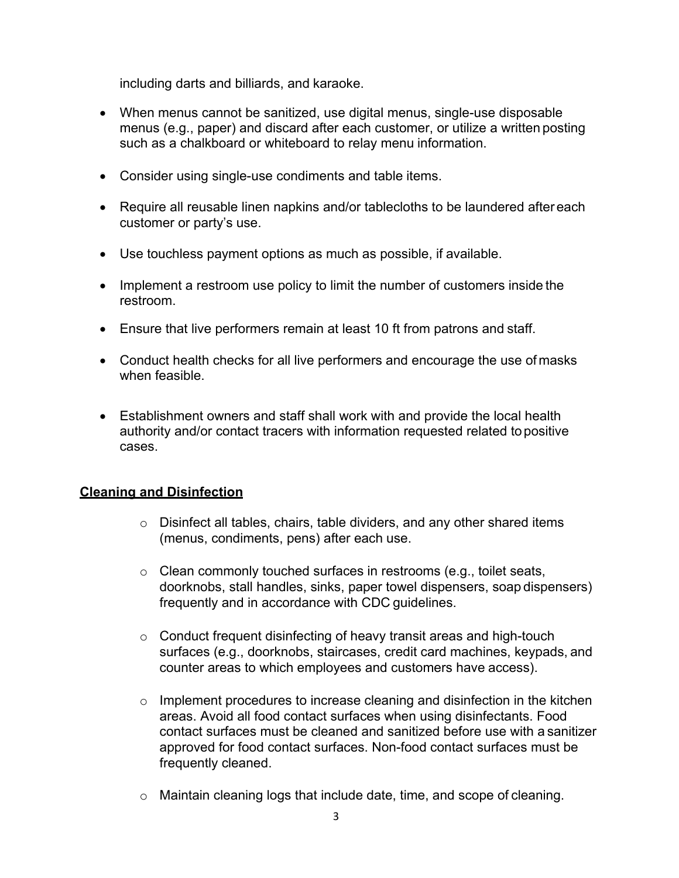including darts and billiards, and karaoke.

- When menus cannot be sanitized, use digital menus, single-use disposable menus (e.g., paper) and discard after each customer, or utilize a written posting such as a chalkboard or whiteboard to relay menu information.
- Consider using single-use condiments and table items.
- Require all reusable linen napkins and/or tablecloths to be laundered after each customer or party's use.
- Use touchless payment options as much as possible, if available.
- Implement a restroom use policy to limit the number of customers inside the restroom.
- Ensure that live performers remain at least 10 ft from patrons and staff.
- Conduct health checks for all live performers and encourage the use of masks when feasible.
- Establishment owners and staff shall work with and provide the local health authority and/or contact tracers with information requested related topositive cases.

## **Cleaning and Disinfection**

- $\circ$  Disinfect all tables, chairs, table dividers, and any other shared items (menus, condiments, pens) after each use.
- o Clean commonly touched surfaces in restrooms (e.g., toilet seats, doorknobs, stall handles, sinks, paper towel dispensers, soap dispensers) frequently and in accordance with CDC guidelines.
- $\circ$  Conduct frequent disinfecting of heavy transit areas and high-touch surfaces (e.g., doorknobs, staircases, credit card machines, keypads, and counter areas to which employees and customers have access).
- $\circ$  Implement procedures to increase cleaning and disinfection in the kitchen areas. Avoid all food contact surfaces when using disinfectants. Food contact surfaces must be cleaned and sanitized before use with a sanitizer approved for food contact surfaces. Non-food contact surfaces must be frequently cleaned.
- $\circ$  Maintain cleaning logs that include date, time, and scope of cleaning.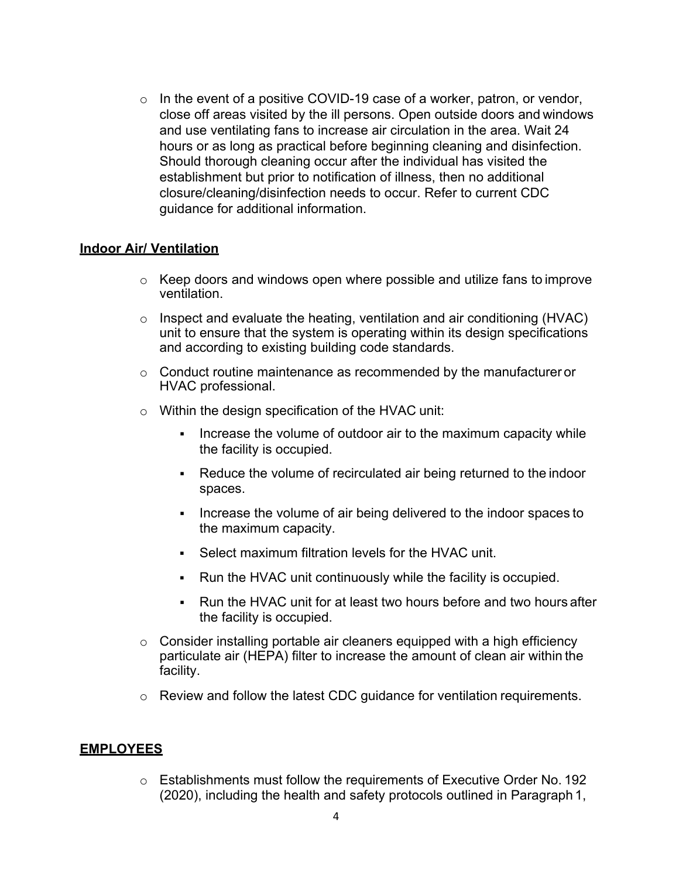$\circ$  In the event of a positive COVID-19 case of a worker, patron, or vendor, close off areas visited by the ill persons. Open outside doors and windows and use ventilating fans to increase air circulation in the area. Wait 24 hours or as long as practical before beginning cleaning and disinfection. Should thorough cleaning occur after the individual has visited the establishment but prior to notification of illness, then no additional closure/cleaning/disinfection needs to occur. Refer to current CDC guidance for additional information.

#### **Indoor Air/ Ventilation**

- o Keep doors and windows open where possible and utilize fans to improve ventilation.
- o Inspect and evaluate the heating, ventilation and air conditioning (HVAC) unit to ensure that the system is operating within its design specifications and according to existing building code standards.
- $\circ$  Conduct routine maintenance as recommended by the manufacturer or HVAC professional.
- $\circ$  Within the design specification of the HVAC unit:
	- Increase the volume of outdoor air to the maximum capacity while the facility is occupied.
	- Reduce the volume of recirculated air being returned to the indoor spaces.
	- Increase the volume of air being delivered to the indoor spaces to the maximum capacity.
	- Select maximum filtration levels for the HVAC unit.
	- Run the HVAC unit continuously while the facility is occupied.
	- Run the HVAC unit for at least two hours before and two hours after the facility is occupied.
- $\circ$  Consider installing portable air cleaners equipped with a high efficiency particulate air (HEPA) filter to increase the amount of clean air within the facility.
- o Review and follow the latest CDC guidance for ventilation requirements.

## **EMPLOYEES**

o Establishments must follow the requirements of Executive Order No. 192 (2020), including the health and safety protocols outlined in Paragraph 1,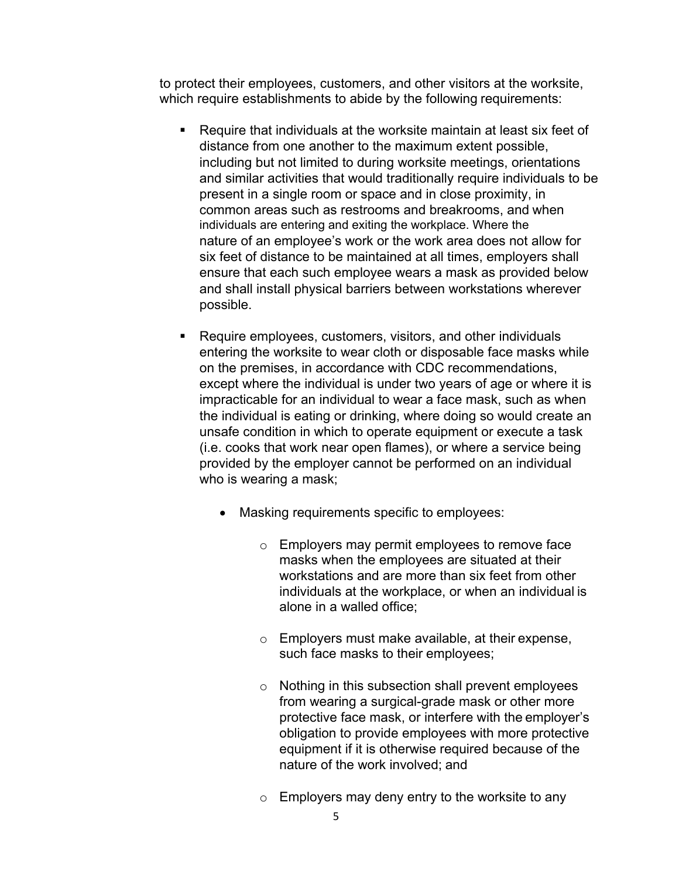to protect their employees, customers, and other visitors at the worksite, which require establishments to abide by the following requirements:

- Require that individuals at the worksite maintain at least six feet of distance from one another to the maximum extent possible, including but not limited to during worksite meetings, orientations and similar activities that would traditionally require individuals to be present in a single room or space and in close proximity, in common areas such as restrooms and breakrooms, and when individuals are entering and exiting the workplace. Where the nature of an employee's work or the work area does not allow for six feet of distance to be maintained at all times, employers shall ensure that each such employee wears a mask as provided below and shall install physical barriers between workstations wherever possible.
- Require employees, customers, visitors, and other individuals entering the worksite to wear cloth or disposable face masks while on the premises, in accordance with CDC recommendations, except where the individual is under two years of age or where it is impracticable for an individual to wear a face mask, such as when the individual is eating or drinking, where doing so would create an unsafe condition in which to operate equipment or execute a task (i.e. cooks that work near open flames), or where a service being provided by the employer cannot be performed on an individual who is wearing a mask;
	- Masking requirements specific to employees:
		- o Employers may permit employees to remove face masks when the employees are situated at their workstations and are more than six feet from other individuals at the workplace, or when an individual is alone in a walled office;
		- o Employers must make available, at their expense, such face masks to their employees;
		- o Nothing in this subsection shall prevent employees from wearing a surgical-grade mask or other more protective face mask, or interfere with the employer's obligation to provide employees with more protective equipment if it is otherwise required because of the nature of the work involved; and
		- $\circ$  Employers may deny entry to the worksite to any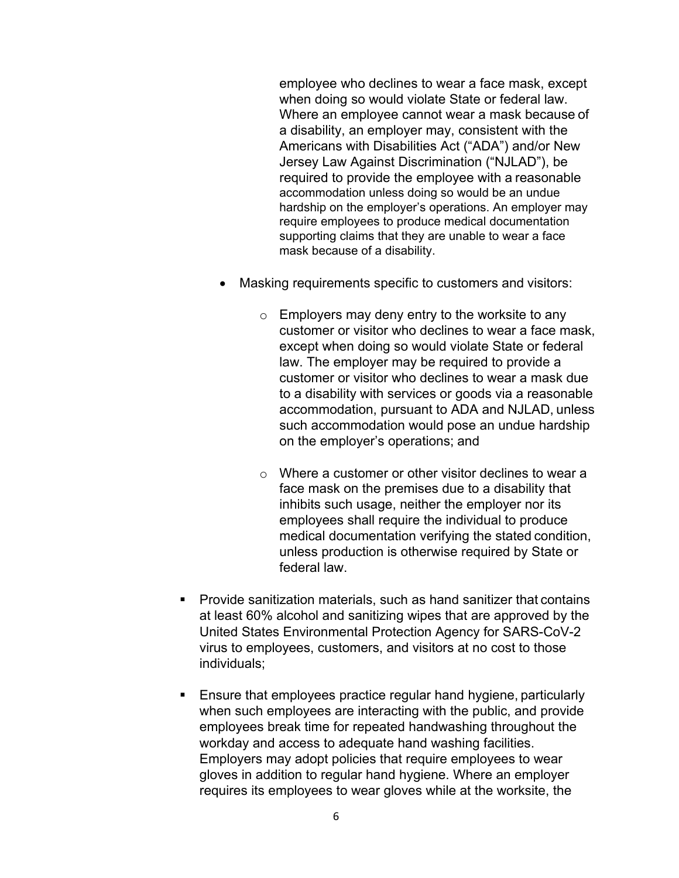employee who declines to wear a face mask, except when doing so would violate State or federal law. Where an employee cannot wear a mask because of a disability, an employer may, consistent with the Americans with Disabilities Act ("ADA") and/or New Jersey Law Against Discrimination ("NJLAD"), be required to provide the employee with a reasonable accommodation unless doing so would be an undue hardship on the employer's operations. An employer may require employees to produce medical documentation supporting claims that they are unable to wear a face mask because of a disability.

- Masking requirements specific to customers and visitors:
	- $\circ$  Employers may deny entry to the worksite to any customer or visitor who declines to wear a face mask, except when doing so would violate State or federal law. The employer may be required to provide a customer or visitor who declines to wear a mask due to a disability with services or goods via a reasonable accommodation, pursuant to ADA and NJLAD, unless such accommodation would pose an undue hardship on the employer's operations; and
	- $\circ$  Where a customer or other visitor declines to wear a face mask on the premises due to a disability that inhibits such usage, neither the employer nor its employees shall require the individual to produce medical documentation verifying the stated condition, unless production is otherwise required by State or federal law.
- Provide sanitization materials, such as hand sanitizer that contains at least 60% alcohol and sanitizing wipes that are approved by the United States Environmental Protection Agency for SARS-CoV-2 virus to employees, customers, and visitors at no cost to those individuals;
- **Ensure that employees practice regular hand hygiene, particularly** when such employees are interacting with the public, and provide employees break time for repeated handwashing throughout the workday and access to adequate hand washing facilities. Employers may adopt policies that require employees to wear gloves in addition to regular hand hygiene. Where an employer requires its employees to wear gloves while at the worksite, the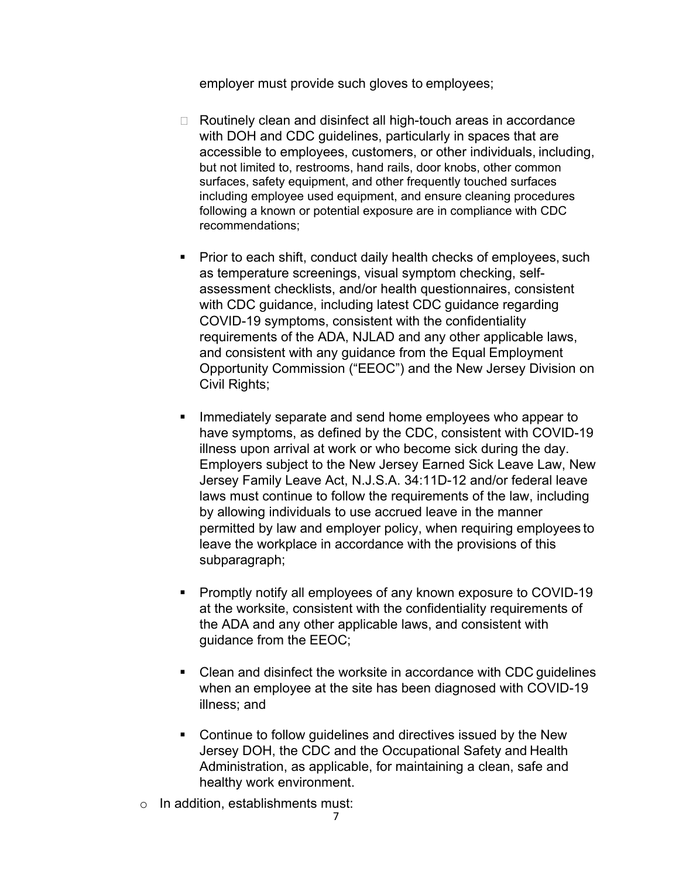employer must provide such gloves to employees;

- □ Routinely clean and disinfect all high-touch areas in accordance with DOH and CDC guidelines, particularly in spaces that are accessible to employees, customers, or other individuals, including, but not limited to, restrooms, hand rails, door knobs, other common surfaces, safety equipment, and other frequently touched surfaces including employee used equipment, and ensure cleaning procedures following a known or potential exposure are in compliance with CDC recommendations;
- **Prior to each shift, conduct daily health checks of employees, such** as temperature screenings, visual symptom checking, selfassessment checklists, and/or health questionnaires, consistent with CDC guidance, including latest CDC guidance regarding COVID-19 symptoms, consistent with the confidentiality requirements of the ADA, NJLAD and any other applicable laws, and consistent with any guidance from the Equal Employment Opportunity Commission ("EEOC") and the New Jersey Division on Civil Rights;
- Immediately separate and send home employees who appear to have symptoms, as defined by the CDC, consistent with COVID-19 illness upon arrival at work or who become sick during the day. Employers subject to the New Jersey Earned Sick Leave Law, New Jersey Family Leave Act, N.J.S.A. 34:11D-12 and/or federal leave laws must continue to follow the requirements of the law, including by allowing individuals to use accrued leave in the manner permitted by law and employer policy, when requiring employees to leave the workplace in accordance with the provisions of this subparagraph;
- **Promptly notify all employees of any known exposure to COVID-19** at the worksite, consistent with the confidentiality requirements of the ADA and any other applicable laws, and consistent with guidance from the EEOC;
- Clean and disinfect the worksite in accordance with CDC guidelines when an employee at the site has been diagnosed with COVID-19 illness; and
- **Continue to follow guidelines and directives issued by the New** Jersey DOH, the CDC and the Occupational Safety and Health Administration, as applicable, for maintaining a clean, safe and healthy work environment.
- o In addition, establishments must: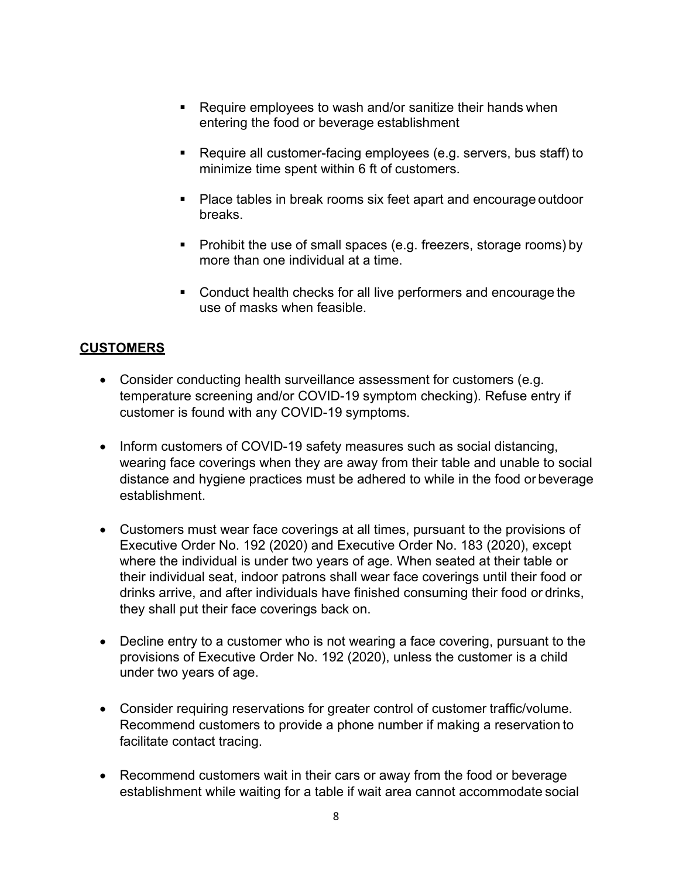- Require employees to wash and/or sanitize their hands when entering the food or beverage establishment
- Require all customer-facing employees (e.g. servers, bus staff) to minimize time spent within 6 ft of customers.
- Place tables in break rooms six feet apart and encourage outdoor breaks.
- **Prohibit the use of small spaces (e.g. freezers, storage rooms) by** more than one individual at a time.
- **Conduct health checks for all live performers and encourage the** use of masks when feasible.

## **CUSTOMERS**

- Consider conducting health surveillance assessment for customers (e.g. temperature screening and/or COVID-19 symptom checking). Refuse entry if customer is found with any COVID-19 symptoms.
- Inform customers of COVID-19 safety measures such as social distancing, wearing face coverings when they are away from their table and unable to social distance and hygiene practices must be adhered to while in the food or beverage establishment.
- Customers must wear face coverings at all times, pursuant to the provisions of Executive Order No. 192 (2020) and Executive Order No. 183 (2020), except where the individual is under two years of age. When seated at their table or their individual seat, indoor patrons shall wear face coverings until their food or drinks arrive, and after individuals have finished consuming their food or drinks, they shall put their face coverings back on.
- Decline entry to a customer who is not wearing a face covering, pursuant to the provisions of Executive Order No. 192 (2020), unless the customer is a child under two years of age.
- Consider requiring reservations for greater control of customer traffic/volume. Recommend customers to provide a phone number if making a reservation to facilitate contact tracing.
- Recommend customers wait in their cars or away from the food or beverage establishment while waiting for a table if wait area cannot accommodate social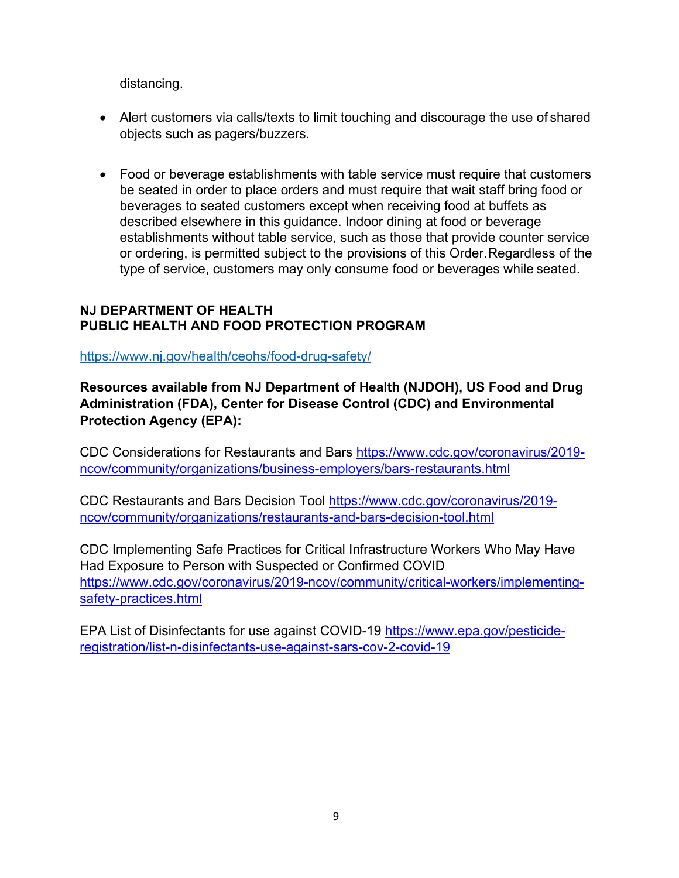distancing.

- Alert customers via calls/texts to limit touching and discourage the use of shared objects such as pagers/buzzers.
- Food or beverage establishments with table service must require that customers be seated in order to place orders and must require that wait staff bring food or beverages to seated customers except when receiving food at buffets as described elsewhere in this guidance. Indoor dining at food or beverage establishments without table service, such as those that provide counter service or ordering, is permitted subject to the provisions of this Order.Regardless of the type of service, customers may only consume food or beverages while seated.

## **NJ DEPARTMENT OF HEALTH PUBLIC HEALTH AND FOOD PROTECTION PROGRAM**

<https://www.nj.gov/health/ceohs/food-drug-safety/>

**Resources available from NJ Department of Health (NJDOH), US Food and Drug Administration (FDA), Center for Disease Control (CDC) and Environmental Protection Agency (EPA):**

CDC Considerations for Restaurants and Bars [https://www.cdc.gov/coronavirus/2019](https://www.cdc.gov/coronavirus/2019-ncov/community/organizations/business-employers/bars-restaurants.html) [ncov/community/organizations/business-employers/bars-restaurants.html](https://www.cdc.gov/coronavirus/2019-ncov/community/organizations/business-employers/bars-restaurants.html)

CDC Restaurants and Bars Decision Tool [https://www.cdc.gov/coronavirus/2019](https://www.cdc.gov/coronavirus/2019-ncov/community/organizations/restaurants-and-bars-decision-tool.html) [ncov/community/organizations/restaurants-and-bars-decision-tool.html](https://www.cdc.gov/coronavirus/2019-ncov/community/organizations/restaurants-and-bars-decision-tool.html)

CDC Implementing Safe Practices for Critical Infrastructure Workers Who May Have Had Exposure to Person with Suspected or Confirmed COVID [https://www.cdc.gov/coronavirus/2019-ncov/community/critical-workers/implementing](https://www.cdc.gov/coronavirus/2019-ncov/community/critical-workers/implementing-safety-practices.html)[safety-practices.html](https://www.cdc.gov/coronavirus/2019-ncov/community/critical-workers/implementing-safety-practices.html)

EPA List of Disinfectants for use against COVID-19 [https://www.epa.gov/pesticide](https://www.epa.gov/pesticide-registration/list-n-disinfectants-use-against-sars-cov-2-covid-19)[registration/list-n-disinfectants-use-against-sars-cov-2-covid-19](https://www.epa.gov/pesticide-registration/list-n-disinfectants-use-against-sars-cov-2-covid-19)